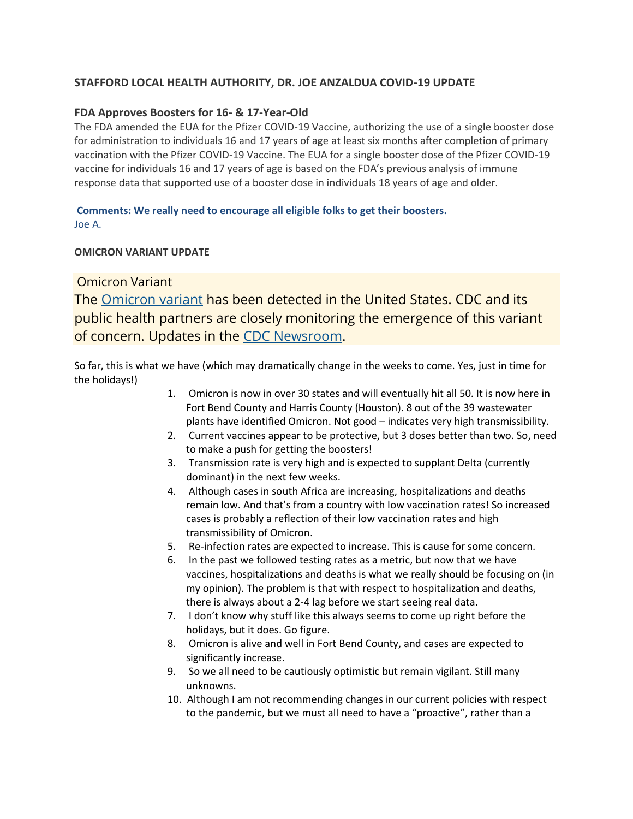# **STAFFORD LOCAL HEALTH AUTHORITY, DR. JOE ANZALDUA COVID-19 UPDATE**

### **FDA Approves Boosters for 16- & 17-Year-Old**

The FDA amended the EUA for the Pfizer COVID-19 Vaccine, authorizing the use of a single booster dose for administration to individuals 16 and 17 years of age at least six months after completion of primary vaccination with the Pfizer COVID-19 Vaccine. The EUA for a single booster dose of the Pfizer COVID-19 vaccine for individuals 16 and 17 years of age is based on the FDA's previous analysis of immune response data that supported use of a booster dose in individuals 18 years of age and older.

## **Comments: We really need to encourage all eligible folks to get their boosters.** Joe A.

#### **OMICRON VARIANT UPDATE**

# Omicron Variant

The [Omicron variant](https://www.cdc.gov/coronavirus/2019-ncov/variants/omicron-variant.html) has been detected in the United States. CDC and its public health partners are closely monitoring the emergence of this variant of concern. Updates in the [CDC Newsroom.](https://www.cdc.gov/media/archives.html?Sort=Article%20Date%3A%3Adesc&Search=omicron)

So far, this is what we have (which may dramatically change in the weeks to come. Yes, just in time for the holidays!)

- 1. Omicron is now in over 30 states and will eventually hit all 50. It is now here in Fort Bend County and Harris County (Houston). 8 out of the 39 wastewater plants have identified Omicron. Not good – indicates very high transmissibility.
- 2. Current vaccines appear to be protective, but 3 doses better than two. So, need to make a push for getting the boosters!
- 3. Transmission rate is very high and is expected to supplant Delta (currently dominant) in the next few weeks.
- 4. Although cases in south Africa are increasing, hospitalizations and deaths remain low. And that's from a country with low vaccination rates! So increased cases is probably a reflection of their low vaccination rates and high transmissibility of Omicron.
- 5. Re-infection rates are expected to increase. This is cause for some concern.
- 6. In the past we followed testing rates as a metric, but now that we have vaccines, hospitalizations and deaths is what we really should be focusing on (in my opinion). The problem is that with respect to hospitalization and deaths, there is always about a 2-4 lag before we start seeing real data.
- 7. I don't know why stuff like this always seems to come up right before the holidays, but it does. Go figure.
- 8. Omicron is alive and well in Fort Bend County, and cases are expected to significantly increase.
- 9. So we all need to be cautiously optimistic but remain vigilant. Still many unknowns.
- 10. Although I am not recommending changes in our current policies with respect to the pandemic, but we must all need to have a "proactive", rather than a